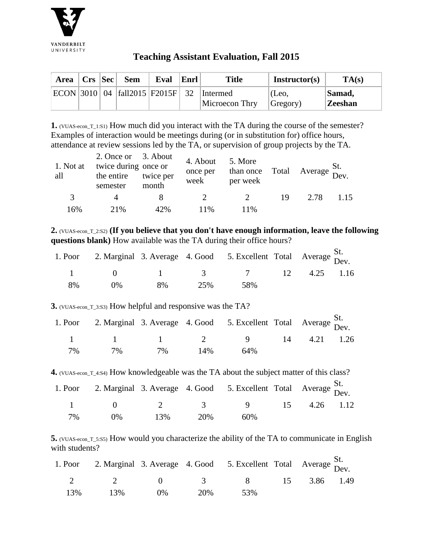

## **Teaching Assistant Evaluation, Fall 2015**

| Area | $ $ Crs $ $ Sec $ $ | <b>Sem</b>                          | Eval | Enrl | <b>Title</b>   | Instructor(s)  | TA(s)          |
|------|---------------------|-------------------------------------|------|------|----------------|----------------|----------------|
|      |                     | $ ECON 3010 04 $ fall2015 F2015F 32 |      |      | Intermed       | $^\circ$ (Leo, | Samad,         |
|      |                     |                                     |      |      | Microecon Thry | Gregory)       | <b>Zeeshan</b> |

**1.** (VUAS-econ\_T\_1:S1) How much did you interact with the TA during the course of the semester? Examples of interaction would be meetings during (or in substitution for) office hours, attendance at review sessions led by the TA, or supervision of group projects by the TA.

| 1. Not at<br>all | 2. Once or 3. About<br>twice during once or<br>the entire<br>semester | twice per<br>month | 4. About<br>once per<br>week | 5. More<br>than once Total<br>per week |    | $\triangle$ Average $\sum_{\text{Dev}}$ |      |
|------------------|-----------------------------------------------------------------------|--------------------|------------------------------|----------------------------------------|----|-----------------------------------------|------|
| 3                |                                                                       |                    | $\overline{2}$               |                                        | 19 | 2.78                                    | 1.15 |
| 16%              | 21\%                                                                  | 42%                | 11%                          | 11%                                    |    |                                         |      |

**2.** (VUAS-econ\_T\_2:S2) **(If you believe that you don't have enough information, leave the following questions blank)** How available was the TA during their office hours?

|    |       |    |     | 1. Poor 2. Marginal 3. Average 4. Good 5. Excellent Total Average St. |  |  |
|----|-------|----|-----|-----------------------------------------------------------------------|--|--|
|    |       |    |     | $1 \t 0 \t 1 \t 3 \t 7 \t 12 \t 4.25 \t 1.16$                         |  |  |
| 8% | $0\%$ | 8% | 25% | - 58%                                                                 |  |  |

**3.** (VUAS-econ\_T\_3:S3) How helpful and responsive was the TA?

|    |       |       |     | 1. Poor 2. Marginal 3. Average 4. Good 5. Excellent Total Average St. |  |  |
|----|-------|-------|-----|-----------------------------------------------------------------------|--|--|
|    |       |       |     | 1 1 1 2 9 14 4.21 1.26                                                |  |  |
| 7% | $7\%$ | $7\%$ | 14% | 64%                                                                   |  |  |

**4.** (VUAS-econ\_T\_4:S4) How knowledgeable was the TA about the subject matter of this class?

|    |       |     |     | 1. Poor 2. Marginal 3. Average 4. Good 5. Excellent Total Average $\frac{St}{Dev}$ . |  |  |
|----|-------|-----|-----|--------------------------------------------------------------------------------------|--|--|
|    |       |     |     | 1 0 2 3 9 15 4.26 1.12                                                               |  |  |
| 7% | $0\%$ | 13% | 20% | 60%                                                                                  |  |  |

**5.** (VUAS-econ\_T\_5:S5) How would you characterize the ability of the TA to communicate in English with students?

|     |     |       |     | 1. Poor 2. Marginal 3. Average 4. Good 5. Excellent Total Average St. |  |  |
|-----|-----|-------|-----|-----------------------------------------------------------------------|--|--|
|     |     |       |     | 2 2 0 3 8 15 3.86 1.49                                                |  |  |
| 13% | 13% | $0\%$ | 20% | - 53%                                                                 |  |  |